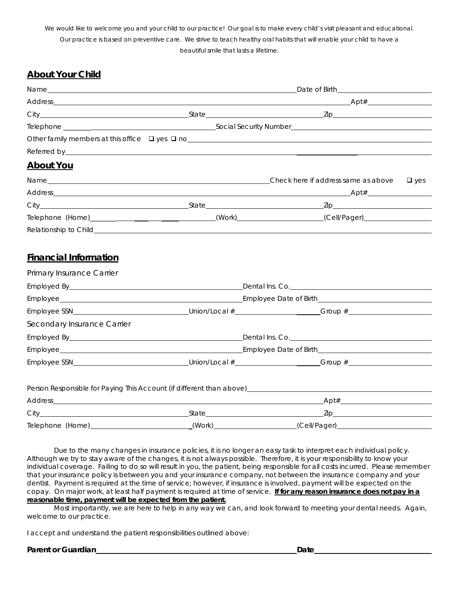We would like to welcome you and your child to our practice! Our goal is to make every child's visit pleasant and educational. Our practice is based on preventive care. We strive to teach healthy oral habits that will enable your child to have a beautiful smile that lasts a lifetime.

## **About Your Child**

|                  | Name experience and the second contract of the second contract of the second contract of the second contract of |  |                                                                                                      |  |  |
|------------------|-----------------------------------------------------------------------------------------------------------------|--|------------------------------------------------------------------------------------------------------|--|--|
|                  |                                                                                                                 |  |                                                                                                      |  |  |
|                  |                                                                                                                 |  |                                                                                                      |  |  |
|                  |                                                                                                                 |  |                                                                                                      |  |  |
|                  |                                                                                                                 |  |                                                                                                      |  |  |
|                  |                                                                                                                 |  |                                                                                                      |  |  |
| <b>About You</b> |                                                                                                                 |  |                                                                                                      |  |  |
|                  |                                                                                                                 |  | $\Box$ yes                                                                                           |  |  |
|                  |                                                                                                                 |  |                                                                                                      |  |  |
|                  |                                                                                                                 |  |                                                                                                      |  |  |
|                  |                                                                                                                 |  | Telephone (Home)__________________________________(Work)___________________(Cell/Pager)_____________ |  |  |
|                  |                                                                                                                 |  |                                                                                                      |  |  |

## **Financial Information**

| Primary Insurance Carrier                                                                                                                                                                                                      |  |  |  |
|--------------------------------------------------------------------------------------------------------------------------------------------------------------------------------------------------------------------------------|--|--|--|
|                                                                                                                                                                                                                                |  |  |  |
|                                                                                                                                                                                                                                |  |  |  |
|                                                                                                                                                                                                                                |  |  |  |
| Secondary Insurance Carrier                                                                                                                                                                                                    |  |  |  |
|                                                                                                                                                                                                                                |  |  |  |
|                                                                                                                                                                                                                                |  |  |  |
|                                                                                                                                                                                                                                |  |  |  |
| Person Responsible for Paying This Account (if different than above) [19] Derson Responsible for Paying This Account (if different than above) [19] Derson Material Account of the state of the state of the state of the stat |  |  |  |
|                                                                                                                                                                                                                                |  |  |  |
|                                                                                                                                                                                                                                |  |  |  |
| Telephone (Home)_____________________________(Work)____________________(Cell/Pager)_________________                                                                                                                           |  |  |  |

Due to the many changes in insurance policies, it is no longer an easy task to interpret each individual policy. Although we try to stay aware of the changes, it is not always possible. Therefore, it is your responsibility to know your individual coverage. Failing to do so will result in you, the patient, being responsible for all costs incurred. Please remember that your insurance policy is between you and your insurance company, not between the insurance company and your dentist. Payment is required at the time of service; however, if insurance is involved, payment will be expected on the copay. On major work, at least half payment is required at time of service. **If for any reason insurance does not pay in a reasonable time, payment will be expected from the patient.** 

Most importantly, we are here to help in any way we can, and look forward to meeting your dental needs. Again, welcome to our practice.

I accept and understand the patient responsibilities outlined above:

## Parent or Guardian **Date Date Date Date Date Date Date Date Date Date Date Date Date Date Date Date Date Date Date Date Date Date Date Date Date Date Date Date Date**